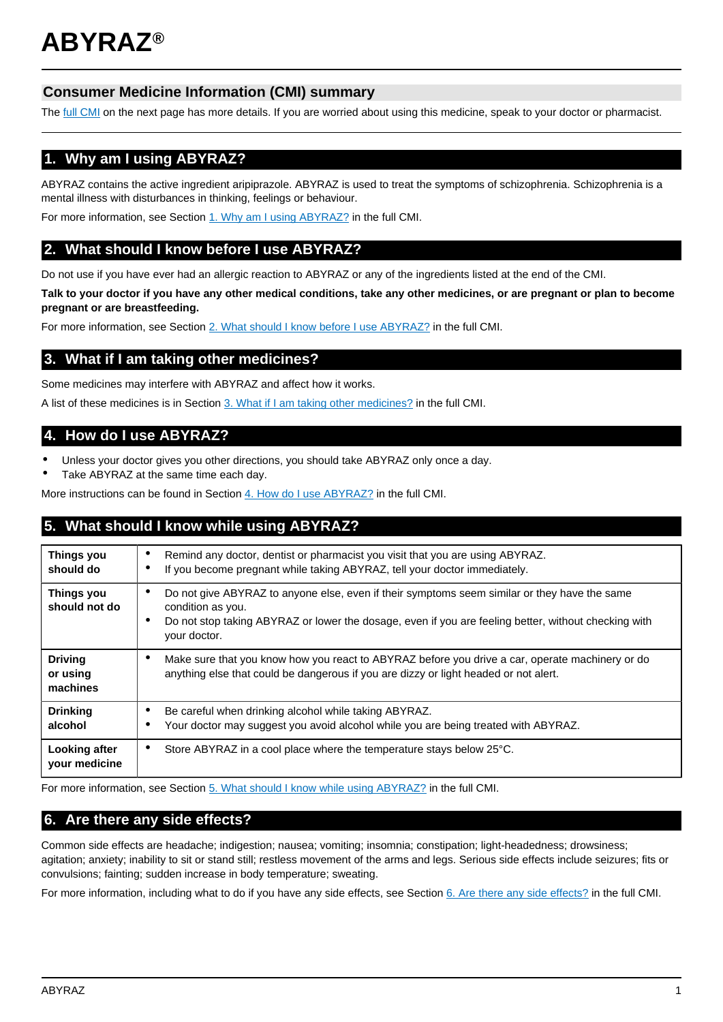# **Consumer Medicine Information (CMI) summary**

The [full CMI](#page-1-0) on the next page has more details. If you are worried about using this medicine, speak to your doctor or pharmacist.

# **1. Why am I using ABYRAZ?**

ABYRAZ contains the active ingredient aripiprazole. ABYRAZ is used to treat the symptoms of schizophrenia. Schizophrenia is a mental illness with disturbances in thinking, feelings or behaviour.

For more information, see Section [1. Why am I using ABYRAZ?](#page-1-1) in the full CMI.

# **2. What should I know before I use ABYRAZ?**

Do not use if you have ever had an allergic reaction to ABYRAZ or any of the ingredients listed at the end of the CMI.

**Talk to your doctor if you have any other medical conditions, take any other medicines, or are pregnant or plan to become pregnant or are breastfeeding.**

For more information, see Section [2. What should I know before I use ABYRAZ?](#page-1-2) in the full CMI.

# **3. What if I am taking other medicines?**

Some medicines may interfere with ABYRAZ and affect how it works.

A list of these medicines is in Section [3. What if I am taking other medicines?](#page-2-0) in the full CMI.

# **4. How do I use ABYRAZ?**

- Unless your doctor gives you other directions, you should take ABYRAZ only once a day.
- Take ABYRAZ at the same time each day.

More instructions can be found in Section [4. How do I use ABYRAZ?](#page-2-1) in the full CMI.

# **5. What should I know while using ABYRAZ?**

| Things you<br>should do                | Remind any doctor, dentist or pharmacist you visit that you are using ABYRAZ.<br>٠<br>If you become pregnant while taking ABYRAZ, tell your doctor immediately.<br>٠                                                                                                |  |
|----------------------------------------|---------------------------------------------------------------------------------------------------------------------------------------------------------------------------------------------------------------------------------------------------------------------|--|
| <b>Things you</b><br>should not do     | Do not give ABYRAZ to anyone else, even if their symptoms seem similar or they have the same<br>$\bullet$<br>condition as you.<br>Do not stop taking ABYRAZ or lower the dosage, even if you are feeling better, without checking with<br>$\bullet$<br>your doctor. |  |
| <b>Driving</b><br>or using<br>machines | Make sure that you know how you react to ABYRAZ before you drive a car, operate machinery or do<br>٠<br>anything else that could be dangerous if you are dizzy or light headed or not alert.                                                                        |  |
| <b>Drinking</b><br>alcohol             | Be careful when drinking alcohol while taking ABYRAZ.<br>٠<br>Your doctor may suggest you avoid alcohol while you are being treated with ABYRAZ.                                                                                                                    |  |
| Looking after<br>your medicine         | Store ABYRAZ in a cool place where the temperature stays below 25°C.<br>$\bullet$                                                                                                                                                                                   |  |

For more information, see Section [5. What should I know while using ABYRAZ?](#page-2-2) in the full CMI.

# **6. Are there any side effects?**

Common side effects are headache; indigestion; nausea; vomiting; insomnia; constipation; light-headedness; drowsiness; agitation; anxiety; inability to sit or stand still; restless movement of the arms and legs. Serious side effects include seizures; fits or convulsions; fainting; sudden increase in body temperature; sweating.

For more information, including what to do if you have any side effects, see Section [6. Are there any side effects?](#page-3-0) in the full CMI.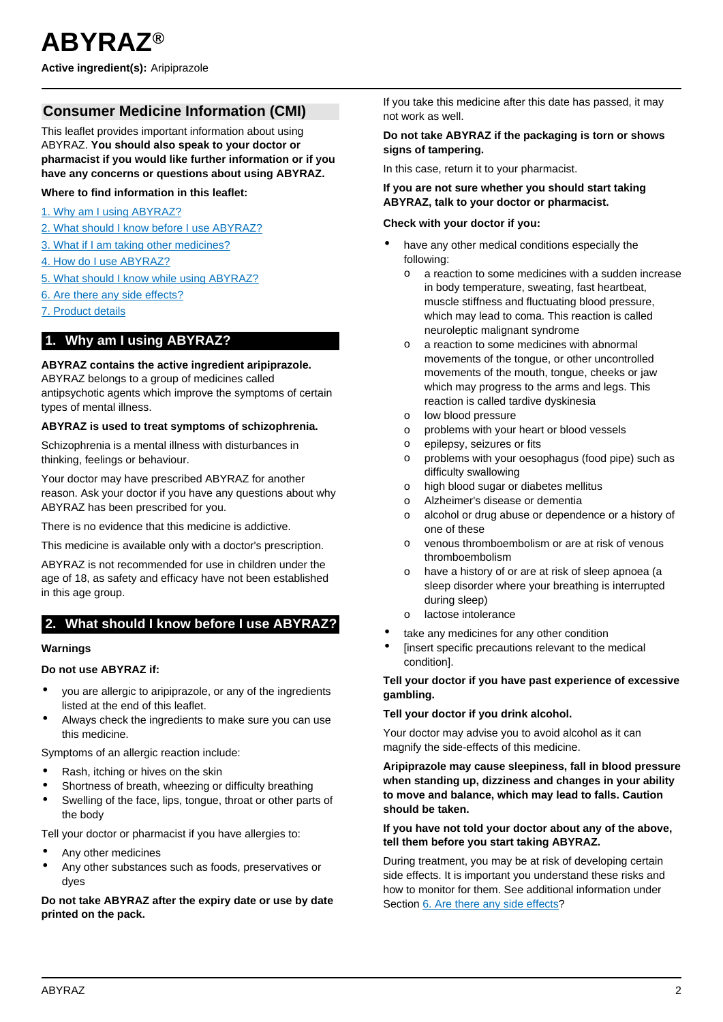# <span id="page-1-0"></span>**Consumer Medicine Information (CMI)**

This leaflet provides important information about using ABYRAZ. **You should also speak to your doctor or pharmacist if you would like further information or if you have any concerns or questions about using ABYRAZ.**

### **Where to find information in this leaflet:**

- [1. Why am I using ABYRAZ?](#page-1-1)
- [2. What should I know before I use ABYRAZ?](#page-1-2)
- [3. What if I am taking other medicines?](#page-2-0)
- [4. How do I use ABYRAZ?](#page-2-1)
- [5. What should I know while using ABYRAZ?](#page-2-2)
- [6. Are there any side effects?](#page-3-0)
- [7. Product details](#page-4-0)

## <span id="page-1-1"></span>**1. Why am I using ABYRAZ?**

### **ABYRAZ contains the active ingredient aripiprazole.**

ABYRAZ belongs to a group of medicines called antipsychotic agents which improve the symptoms of certain types of mental illness.

#### **ABYRAZ is used to treat symptoms of schizophrenia.**

Schizophrenia is a mental illness with disturbances in thinking, feelings or behaviour.

Your doctor may have prescribed ABYRAZ for another reason. Ask your doctor if you have any questions about why ABYRAZ has been prescribed for you.

There is no evidence that this medicine is addictive.

This medicine is available only with a doctor's prescription.

ABYRAZ is not recommended for use in children under the age of 18, as safety and efficacy have not been established in this age group.

## <span id="page-1-2"></span>**2. What should I know before I use ABYRAZ?**

#### **Warnings**

#### **Do not use ABYRAZ if:**

- you are allergic to aripiprazole, or any of the ingredients listed at the end of this leaflet.
- Always check the ingredients to make sure you can use this medicine.

Symptoms of an allergic reaction include:

- Rash, itching or hives on the skin
- Shortness of breath, wheezing or difficulty breathing
- Swelling of the face, lips, tongue, throat or other parts of the body

Tell your doctor or pharmacist if you have allergies to:

- Any other medicines
- Any other substances such as foods, preservatives or dyes

**Do not take ABYRAZ after the expiry date or use by date printed on the pack.**

If you take this medicine after this date has passed, it may not work as well.

#### **Do not take ABYRAZ if the packaging is torn or shows signs of tampering.**

In this case, return it to your pharmacist.

#### **If you are not sure whether you should start taking ABYRAZ, talk to your doctor or pharmacist.**

#### **Check with your doctor if you:**

- have any other medical conditions especially the following:
	- o a reaction to some medicines with a sudden increase in body temperature, sweating, fast heartbeat, muscle stiffness and fluctuating blood pressure, which may lead to coma. This reaction is called neuroleptic malignant syndrome
	- o a reaction to some medicines with abnormal movements of the tongue, or other uncontrolled movements of the mouth, tongue, cheeks or jaw which may progress to the arms and legs. This reaction is called tardive dyskinesia
	- o low blood pressure
	- o problems with your heart or blood vessels
	- o epilepsy, seizures or fits
	- o problems with your oesophagus (food pipe) such as difficulty swallowing
	- o high blood sugar or diabetes mellitus
	- o Alzheimer's disease or dementia
	- o alcohol or drug abuse or dependence or a history of one of these
	- o venous thromboembolism or are at risk of venous thromboembolism
	- o have a history of or are at risk of sleep apnoea (a sleep disorder where your breathing is interrupted during sleep)
	- o lactose intolerance
- take any medicines for any other condition
- [insert specific precautions relevant to the medical condition].

#### **Tell your doctor if you have past experience of excessive gambling.**

#### **Tell your doctor if you drink alcohol.**

Your doctor may advise you to avoid alcohol as it can magnify the side-effects of this medicine.

**Aripiprazole may cause sleepiness, fall in blood pressure when standing up, dizziness and changes in your ability to move and balance, which may lead to falls. Caution should be taken.**

### **If you have not told your doctor about any of the above, tell them before you start taking ABYRAZ.**

During treatment, you may be at risk of developing certain side effects. It is important you understand these risks and how to monitor for them. See additional information under Section [6. Are there any side effects](#page-3-0)?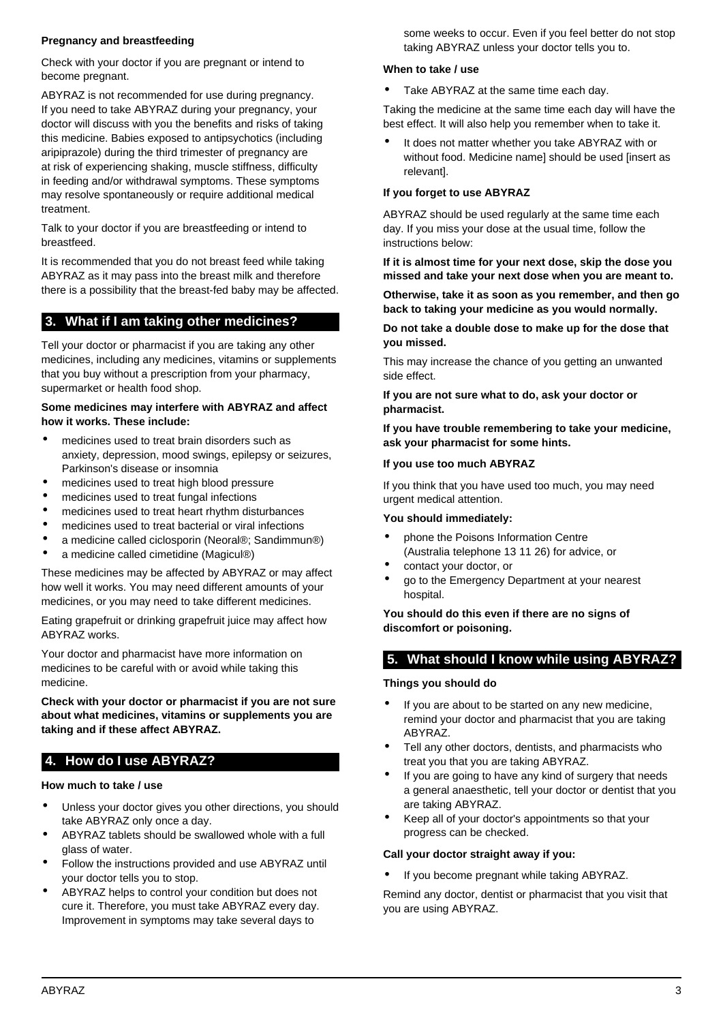### **Pregnancy and breastfeeding**

Check with your doctor if you are pregnant or intend to become pregnant.

ABYRAZ is not recommended for use during pregnancy. If you need to take ABYRAZ during your pregnancy, your doctor will discuss with you the benefits and risks of taking this medicine. Babies exposed to antipsychotics (including aripiprazole) during the third trimester of pregnancy are at risk of experiencing shaking, muscle stiffness, difficulty in feeding and/or withdrawal symptoms. These symptoms may resolve spontaneously or require additional medical treatment.

Talk to your doctor if you are breastfeeding or intend to breastfeed.

It is recommended that you do not breast feed while taking ABYRAZ as it may pass into the breast milk and therefore there is a possibility that the breast-fed baby may be affected.

# <span id="page-2-0"></span>**3. What if I am taking other medicines?**

Tell your doctor or pharmacist if you are taking any other medicines, including any medicines, vitamins or supplements that you buy without a prescription from your pharmacy, supermarket or health food shop.

#### **Some medicines may interfere with ABYRAZ and affect how it works. These include:**

- medicines used to treat brain disorders such as anxiety, depression, mood swings, epilepsy or seizures, Parkinson's disease or insomnia
- medicines used to treat high blood pressure
- medicines used to treat fungal infections
- medicines used to treat heart rhythm disturbances
- medicines used to treat bacterial or viral infections
- a medicine called ciclosporin (Neoral®; Sandimmun®)
- a medicine called cimetidine (Magicul®)

These medicines may be affected by ABYRAZ or may affect how well it works. You may need different amounts of your medicines, or you may need to take different medicines.

Eating grapefruit or drinking grapefruit juice may affect how ABYRAZ works.

Your doctor and pharmacist have more information on medicines to be careful with or avoid while taking this medicine.

**Check with your doctor or pharmacist if you are not sure about what medicines, vitamins or supplements you are taking and if these affect ABYRAZ.**

## <span id="page-2-1"></span>**4. How do I use ABYRAZ?**

#### **How much to take / use**

- Unless your doctor gives you other directions, you should take ABYRAZ only once a day.
- ABYRAZ tablets should be swallowed whole with a full glass of water.
- Follow the instructions provided and use ABYRAZ until your doctor tells you to stop.
- ABYRAZ helps to control your condition but does not cure it. Therefore, you must take ABYRAZ every day. Improvement in symptoms may take several days to

some weeks to occur. Even if you feel better do not stop taking ABYRAZ unless your doctor tells you to.

### **When to take / use**

Take ABYRAZ at the same time each day.

Taking the medicine at the same time each day will have the best effect. It will also help you remember when to take it.

• It does not matter whether you take ABYRAZ with or without food. Medicine name] should be used [insert as relevant].

### **If you forget to use ABYRAZ**

ABYRAZ should be used regularly at the same time each day. If you miss your dose at the usual time, follow the instructions below:

**If it is almost time for your next dose, skip the dose you missed and take your next dose when you are meant to.**

**Otherwise, take it as soon as you remember, and then go back to taking your medicine as you would normally.**

**Do not take a double dose to make up for the dose that you missed.**

This may increase the chance of you getting an unwanted side effect.

**If you are not sure what to do, ask your doctor or pharmacist.**

**If you have trouble remembering to take your medicine, ask your pharmacist for some hints.**

### **If you use too much ABYRAZ**

If you think that you have used too much, you may need urgent medical attention.

### **You should immediately:**

- phone the Poisons Information Centre (Australia telephone 13 11 26) for advice, or
- contact your doctor, or
- go to the Emergency Department at your nearest hospital.

**You should do this even if there are no signs of discomfort or poisoning.**

# <span id="page-2-2"></span>**5. What should I know while using ABYRAZ?**

### **Things you should do**

- If you are about to be started on any new medicine, remind your doctor and pharmacist that you are taking ABYRAZ.
- Tell any other doctors, dentists, and pharmacists who treat you that you are taking ABYRAZ.
- If you are going to have any kind of surgery that needs a general anaesthetic, tell your doctor or dentist that you are taking ABYRAZ.
- Keep all of your doctor's appointments so that your progress can be checked.

#### **Call your doctor straight away if you:**

If you become pregnant while taking ABYRAZ.

Remind any doctor, dentist or pharmacist that you visit that you are using ABYRAZ.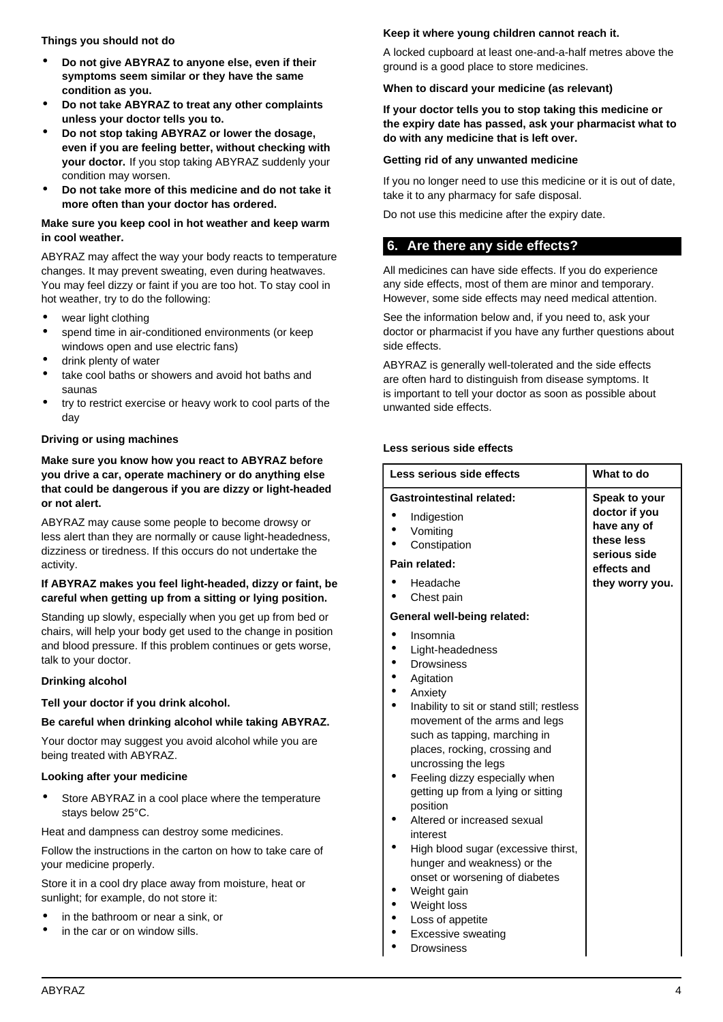**Things you should not do**

- **Do not give ABYRAZ to anyone else, even if their symptoms seem similar or they have the same condition as you.**
- **Do not take ABYRAZ to treat any other complaints unless your doctor tells you to.**
- **Do not stop taking ABYRAZ or lower the dosage, even if you are feeling better, without checking with your doctor.** If you stop taking ABYRAZ suddenly your condition may worsen.
- **Do not take more of this medicine and do not take it more often than your doctor has ordered.**

### **Make sure you keep cool in hot weather and keep warm in cool weather.**

ABYRAZ may affect the way your body reacts to temperature changes. It may prevent sweating, even during heatwaves. You may feel dizzy or faint if you are too hot. To stay cool in hot weather, try to do the following:

- wear light clothing
- spend time in air-conditioned environments (or keep windows open and use electric fans)
- drink plenty of water
- take cool baths or showers and avoid hot baths and saunas
- try to restrict exercise or heavy work to cool parts of the day

### **Driving or using machines**

**Make sure you know how you react to ABYRAZ before you drive a car, operate machinery or do anything else that could be dangerous if you are dizzy or light-headed or not alert.**

ABYRAZ may cause some people to become drowsy or less alert than they are normally or cause light-headedness, dizziness or tiredness. If this occurs do not undertake the activity.

#### **If ABYRAZ makes you feel light-headed, dizzy or faint, be careful when getting up from a sitting or lying position.**

Standing up slowly, especially when you get up from bed or chairs, will help your body get used to the change in position and blood pressure. If this problem continues or gets worse, talk to your doctor.

### **Drinking alcohol**

## **Tell your doctor if you drink alcohol.**

## **Be careful when drinking alcohol while taking ABYRAZ.**

Your doctor may suggest you avoid alcohol while you are being treated with ABYRAZ.

## **Looking after your medicine**

Store ABYRAZ in a cool place where the temperature stays below 25°C.

Heat and dampness can destroy some medicines.

Follow the instructions in the carton on how to take care of your medicine properly.

Store it in a cool dry place away from moisture, heat or sunlight; for example, do not store it:

- in the bathroom or near a sink, or
- in the car or on window sills.

# **Keep it where young children cannot reach it.**

A locked cupboard at least one-and-a-half metres above the ground is a good place to store medicines.

## **When to discard your medicine (as relevant)**

**If your doctor tells you to stop taking this medicine or the expiry date has passed, ask your pharmacist what to do with any medicine that is left over.**

## **Getting rid of any unwanted medicine**

If you no longer need to use this medicine or it is out of date, take it to any pharmacy for safe disposal.

Do not use this medicine after the expiry date.

# <span id="page-3-0"></span>**6. Are there any side effects?**

All medicines can have side effects. If you do experience any side effects, most of them are minor and temporary. However, some side effects may need medical attention.

See the information below and, if you need to, ask your doctor or pharmacist if you have any further questions about side effects.

ABYRAZ is generally well-tolerated and the side effects are often hard to distinguish from disease symptoms. It is important to tell your doctor as soon as possible about unwanted side effects.

### **Less serious side effects**

| Less serious side effects                                                                                                                                                                                                                                                                                                                                                                                                                                                                                                               | What to do                                                 |
|-----------------------------------------------------------------------------------------------------------------------------------------------------------------------------------------------------------------------------------------------------------------------------------------------------------------------------------------------------------------------------------------------------------------------------------------------------------------------------------------------------------------------------------------|------------------------------------------------------------|
| <b>Gastrointestinal related:</b>                                                                                                                                                                                                                                                                                                                                                                                                                                                                                                        | Speak to your                                              |
| Indigestion<br>Vomiting<br>Constipation                                                                                                                                                                                                                                                                                                                                                                                                                                                                                                 | doctor if you<br>have any of<br>these less<br>serious side |
| Pain related:                                                                                                                                                                                                                                                                                                                                                                                                                                                                                                                           | effects and                                                |
| Headache<br>Chest pain                                                                                                                                                                                                                                                                                                                                                                                                                                                                                                                  | they worry you.                                            |
| General well-being related:                                                                                                                                                                                                                                                                                                                                                                                                                                                                                                             |                                                            |
| Insomnia<br>Light-headedness<br><b>Drowsiness</b><br>Agitation<br>Anxiety<br>Inability to sit or stand still; restless<br>movement of the arms and legs<br>such as tapping, marching in<br>places, rocking, crossing and<br>uncrossing the legs<br>Feeling dizzy especially when<br>getting up from a lying or sitting<br>position<br>Altered or increased sexual<br>interest<br>High blood sugar (excessive thirst,<br>hunger and weakness) or the<br>onset or worsening of diabetes<br>Weight gain<br>Weight loss<br>Loss of appetite |                                                            |

**Excessive sweating**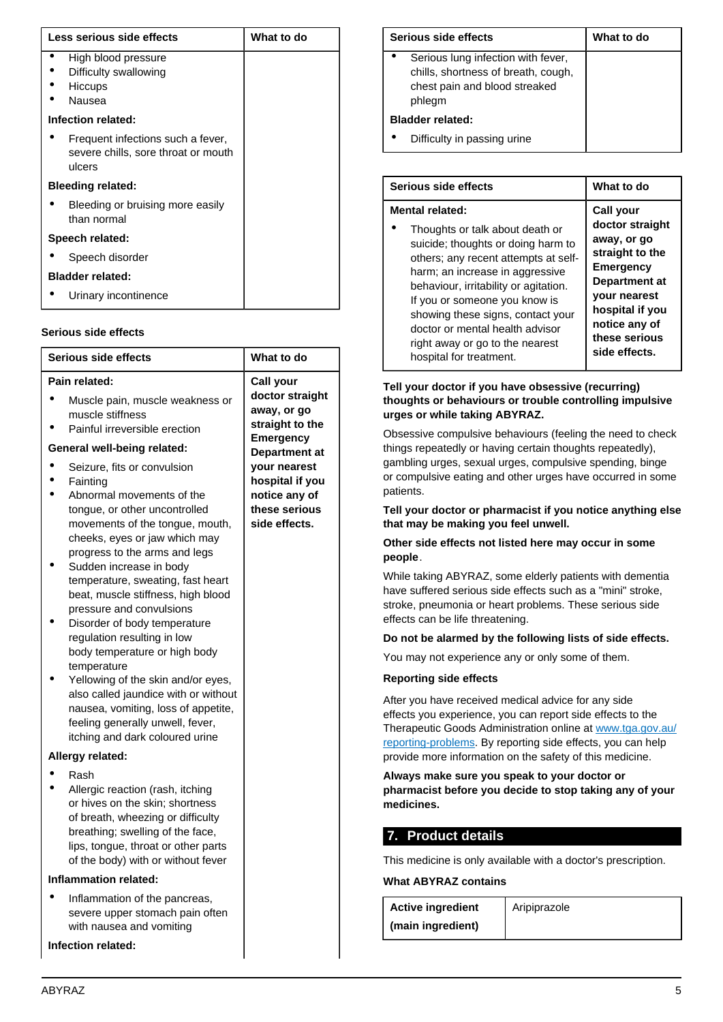| Less serious side effects |                                                                                    | What to do |
|---------------------------|------------------------------------------------------------------------------------|------------|
|                           | High blood pressure<br>Difficulty swallowing<br><b>Hiccups</b><br>Nausea           |            |
| Infection related:        |                                                                                    |            |
|                           | Frequent infections such a fever,<br>severe chills, sore throat or mouth<br>ulcers |            |
| <b>Bleeding related:</b>  |                                                                                    |            |
|                           | Bleeding or bruising more easily<br>than normal                                    |            |
| Speech related:           |                                                                                    |            |
|                           | Speech disorder                                                                    |            |
|                           | <b>Bladder related:</b>                                                            |            |
|                           | Urinary incontinence                                                               |            |

#### **Serious side effects**

| Pain related:<br>Call your<br>doctor straight<br>Muscle pain, muscle weakness or<br>away, or go<br>muscle stiffness<br>straight to the<br>Painful irreversible erection<br><b>Emergency</b><br>General well-being related:<br><b>Department at</b><br>your nearest<br>Seizure, fits or convulsion<br>hospital if you<br>Fainting                                                                                                                                                                                                                                                                                                                                                                                                                                                                                                                                                   |  |  |
|------------------------------------------------------------------------------------------------------------------------------------------------------------------------------------------------------------------------------------------------------------------------------------------------------------------------------------------------------------------------------------------------------------------------------------------------------------------------------------------------------------------------------------------------------------------------------------------------------------------------------------------------------------------------------------------------------------------------------------------------------------------------------------------------------------------------------------------------------------------------------------|--|--|
| notice any of<br>Abnormal movements of the<br>these serious<br>tongue, or other uncontrolled<br>side effects.<br>movements of the tongue, mouth,<br>cheeks, eyes or jaw which may<br>progress to the arms and legs<br>Sudden increase in body<br>temperature, sweating, fast heart<br>beat, muscle stiffness, high blood<br>pressure and convulsions<br>Disorder of body temperature<br>regulation resulting in low<br>body temperature or high body<br>temperature<br>Yellowing of the skin and/or eyes,<br>also called jaundice with or without<br>nausea, vomiting, loss of appetite,<br>feeling generally unwell, fever,<br>itching and dark coloured urine<br>Allergy related:<br>Rash<br>Allergic reaction (rash, itching<br>or hives on the skin; shortness<br>of breath, wheezing or difficulty<br>breathing; swelling of the face,<br>lips, tongue, throat or other parts |  |  |
| of the body) with or without fever<br><b>Inflammation related:</b>                                                                                                                                                                                                                                                                                                                                                                                                                                                                                                                                                                                                                                                                                                                                                                                                                 |  |  |
| Inflammation of the pancreas,                                                                                                                                                                                                                                                                                                                                                                                                                                                                                                                                                                                                                                                                                                                                                                                                                                                      |  |  |
| severe upper stomach pain often<br>with nausea and vomiting                                                                                                                                                                                                                                                                                                                                                                                                                                                                                                                                                                                                                                                                                                                                                                                                                        |  |  |
| Infection related:                                                                                                                                                                                                                                                                                                                                                                                                                                                                                                                                                                                                                                                                                                                                                                                                                                                                 |  |  |
|                                                                                                                                                                                                                                                                                                                                                                                                                                                                                                                                                                                                                                                                                                                                                                                                                                                                                    |  |  |

| Serious side effects                                                                                                 | What to do |
|----------------------------------------------------------------------------------------------------------------------|------------|
| Serious lung infection with fever,<br>chills, shortness of breath, cough,<br>chest pain and blood streaked<br>phlegm |            |
| <b>Bladder related:</b>                                                                                              |            |
| Difficulty in passing urine                                                                                          |            |

| Serious side effects                  | What to do          |
|---------------------------------------|---------------------|
| Mental related:                       | Call your           |
| Thoughts or talk about death or       | doctor straight     |
| suicide; thoughts or doing harm to    | away, or go         |
| others; any recent attempts at self-  | straight to the     |
| harm; an increase in aggressive       | <b>Emergency</b>    |
| behaviour, irritability or agitation. | Department at       |
| If you or someone you know is         | <b>your nearest</b> |
| showing these signs, contact your     | hospital if you     |
| doctor or mental health advisor       | notice any of       |
| right away or go to the nearest       | these serious       |
| hospital for treatment.               | side effects.       |

### **Tell your doctor if you have obsessive (recurring) thoughts or behaviours or trouble controlling impulsive urges or while taking ABYRAZ.**

Obsessive compulsive behaviours (feeling the need to check things repeatedly or having certain thoughts repeatedly), gambling urges, sexual urges, compulsive spending, binge or compulsive eating and other urges have occurred in some patients.

**Tell your doctor or pharmacist if you notice anything else that may be making you feel unwell.**

### **Other side effects not listed here may occur in some people**.

While taking ABYRAZ, some elderly patients with dementia have suffered serious side effects such as a "mini" stroke, stroke, pneumonia or heart problems. These serious side effects can be life threatening.

## **Do not be alarmed by the following lists of side effects.**

You may not experience any or only some of them.

### **Reporting side effects**

After you have received medical advice for any side effects you experience, you can report side effects to the Therapeutic Goods Administration online at [www.tga.gov.au/](http://www.tga.gov.au/reporting-problems) [reporting-problems](http://www.tga.gov.au/reporting-problems). By reporting side effects, you can help provide more information on the safety of this medicine.

**Always make sure you speak to your doctor or pharmacist before you decide to stop taking any of your medicines.**

## <span id="page-4-0"></span>**7. Product details**

This medicine is only available with a doctor's prescription.

**What ABYRAZ contains**

| <b>Active ingredient</b> | Aripiprazole |
|--------------------------|--------------|
| (main ingredient)        |              |